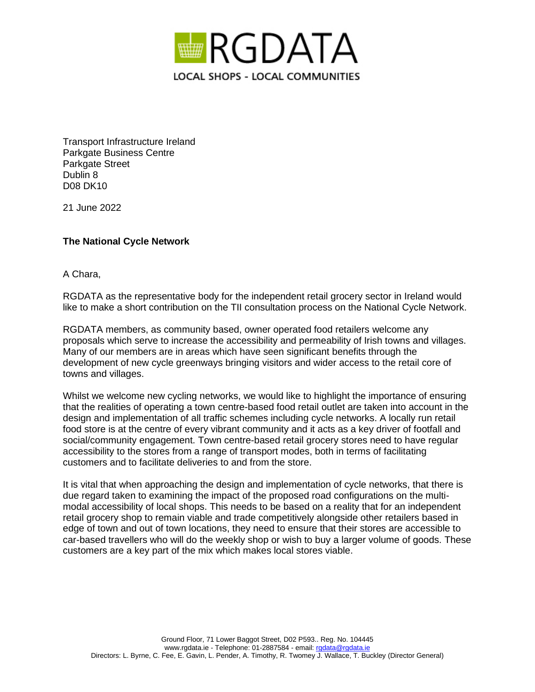

Transport Infrastructure Ireland Parkgate Business Centre Parkgate Street Dublin 8 D08 DK10

21 June 2022

## **The National Cycle Network**

A Chara,

RGDATA as the representative body for the independent retail grocery sector in Ireland would like to make a short contribution on the TII consultation process on the National Cycle Network.

RGDATA members, as community based, owner operated food retailers welcome any proposals which serve to increase the accessibility and permeability of Irish towns and villages. Many of our members are in areas which have seen significant benefits through the development of new cycle greenways bringing visitors and wider access to the retail core of towns and villages.

Whilst we welcome new cycling networks, we would like to highlight the importance of ensuring that the realities of operating a town centre-based food retail outlet are taken into account in the design and implementation of all traffic schemes including cycle networks. A locally run retail food store is at the centre of every vibrant community and it acts as a key driver of footfall and social/community engagement. Town centre-based retail grocery stores need to have regular accessibility to the stores from a range of transport modes, both in terms of facilitating customers and to facilitate deliveries to and from the store.

It is vital that when approaching the design and implementation of cycle networks, that there is due regard taken to examining the impact of the proposed road configurations on the multimodal accessibility of local shops. This needs to be based on a reality that for an independent retail grocery shop to remain viable and trade competitively alongside other retailers based in edge of town and out of town locations, they need to ensure that their stores are accessible to car-based travellers who will do the weekly shop or wish to buy a larger volume of goods. These customers are a key part of the mix which makes local stores viable.